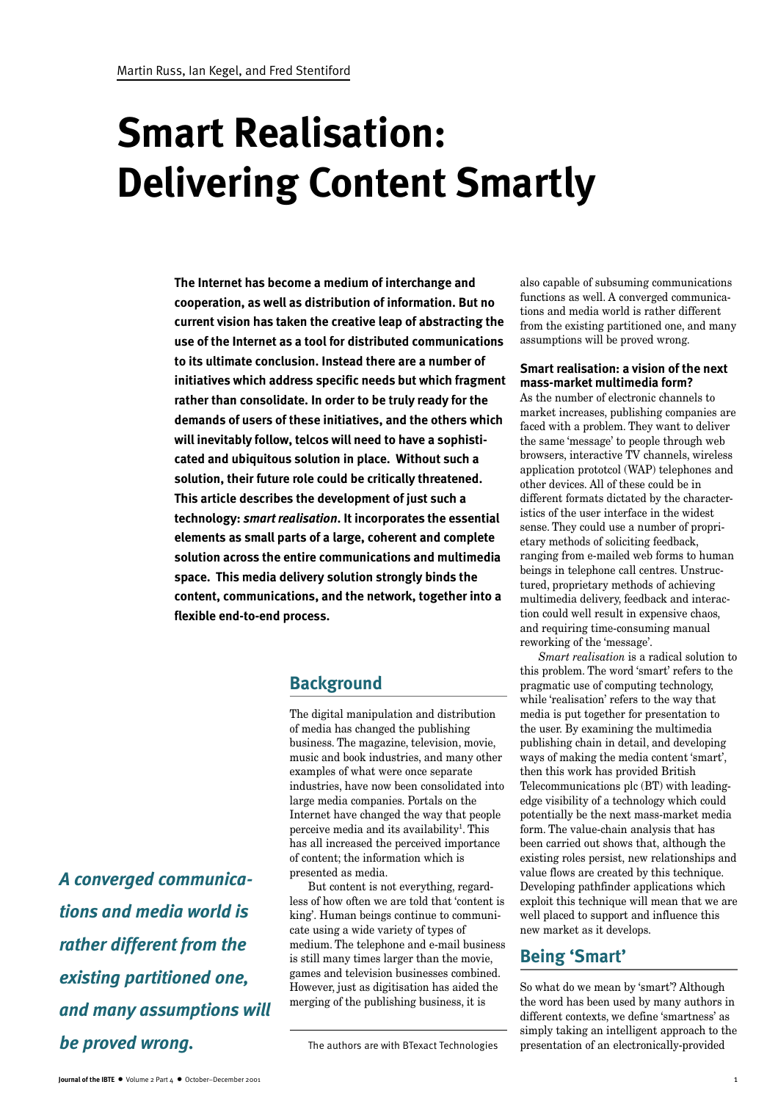# **Smart Realisation: Delivering Content Smartly**

**The Internet has become a medium of interchange and cooperation, as well as distribution of information. But no current vision has taken the creative leap of abstracting the use of the Internet as a tool for distributed communications to its ultimate conclusion. Instead there are a number of initiatives which address specific needs but which fragment rather than consolidate. In order to be truly ready for the demands of users of these initiatives, and the others which will inevitably follow, telcos will need to have a sophisticated and ubiquitous solution in place. Without such a solution, their future role could be critically threatened. This article describes the development of just such a technology:** *smart realisation***. It incorporates the essential elements as small parts of a large, coherent and complete solution across the entire communications and multimedia space. This media delivery solution strongly binds the content, communications, and the network, together into a flexible end-to-end process.**

# **Background**

The digital manipulation and distribution of media has changed the publishing business. The magazine, television, movie, music and book industries, and many other examples of what were once separate industries, have now been consolidated into large media companies. Portals on the Internet have changed the way that people perceive media and its availability<sup>1</sup>. This has all increased the perceived importance of content; the information which is presented as media.

But content is not everything, regardless of how often we are told that 'content is king'. Human beings continue to communicate using a wide variety of types of medium. The telephone and e-mail business is still many times larger than the movie, games and television businesses combined. However, just as digitisation has aided the merging of the publishing business, it is

also capable of subsuming communications functions as well. A converged communications and media world is rather different from the existing partitioned one, and many assumptions will be proved wrong.

#### **Smart realisation: a vision of the next mass-market multimedia form?**

As the number of electronic channels to market increases, publishing companies are faced with a problem. They want to deliver the same 'message' to people through web browsers, interactive TV channels, wireless application prototcol (WAP) telephones and other devices. All of these could be in different formats dictated by the characteristics of the user interface in the widest sense. They could use a number of proprietary methods of soliciting feedback, ranging from e-mailed web forms to human beings in telephone call centres. Unstructured, proprietary methods of achieving multimedia delivery, feedback and interaction could well result in expensive chaos, and requiring time-consuming manual reworking of the 'message'.

*Smart realisation* is a radical solution to this problem. The word 'smart' refers to the pragmatic use of computing technology, while 'realisation' refers to the way that media is put together for presentation to the user. By examining the multimedia publishing chain in detail, and developing ways of making the media content 'smart', then this work has provided British Telecommunications plc (BT) with leadingedge visibility of a technology which could potentially be the next mass-market media form. The value-chain analysis that has been carried out shows that, although the existing roles persist, new relationships and value flows are created by this technique. Developing pathfinder applications which exploit this technique will mean that we are well placed to support and influence this new market as it develops.

# **Being 'Smart'**

So what do we mean by 'smart'? Although the word has been used by many authors in different contexts, we define 'smartness' as simply taking an intelligent approach to the The authors are with BTexact Technologies presentation of an electronically-provided

*A converged communications and media world is rather different from the existing partitioned one, and many assumptions will be proved wrong.*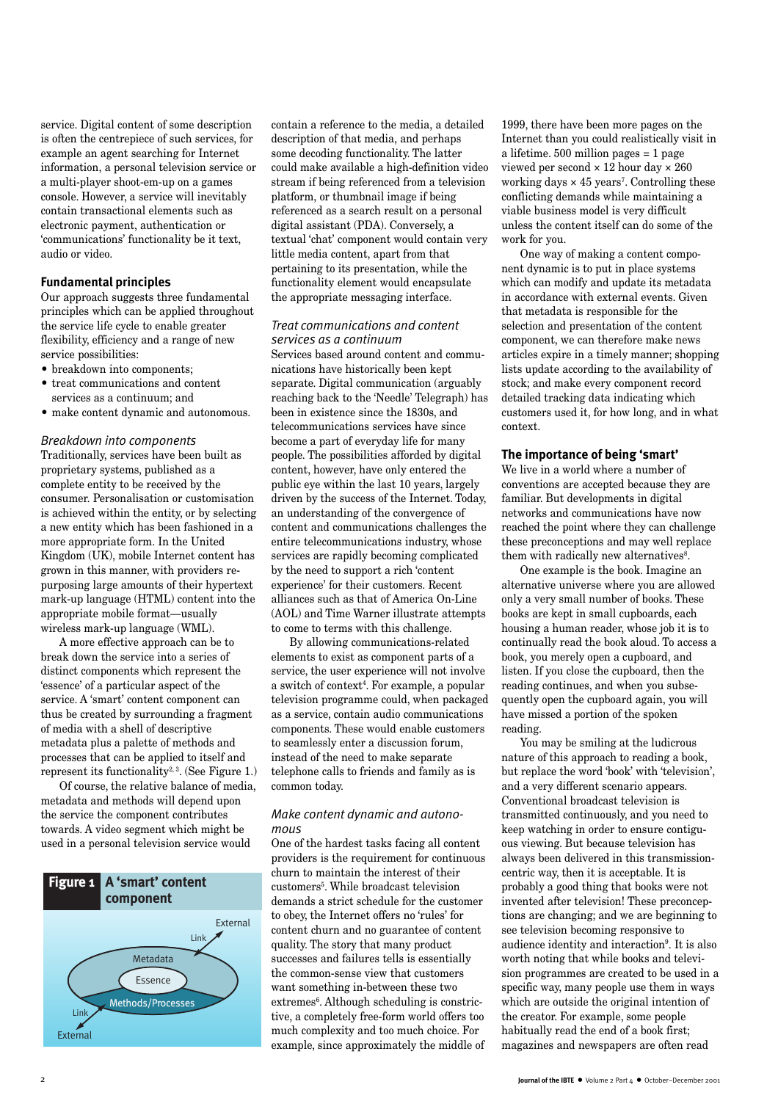service. Digital content of some description is often the centrepiece of such services, for example an agent searching for Internet information, a personal television service or a multi-player shoot-em-up on a games console. However, a service will inevitably contain transactional elements such as electronic payment, authentication or 'communications' functionality be it text, audio or video.

#### **Fundamental principles**

Our approach suggests three fundamental principles which can be applied throughout the service life cycle to enable greater flexibility, efficiency and a range of new service possibilities:

- breakdown into components;
- treat communications and content services as a continuum; and
- make content dynamic and autonomous.

#### *Breakdown into components*

Traditionally, services have been built as proprietary systems, published as a complete entity to be received by the consumer. Personalisation or customisation is achieved within the entity, or by selecting a new entity which has been fashioned in a more appropriate form. In the United Kingdom (UK), mobile Internet content has grown in this manner, with providers repurposing large amounts of their hypertext mark-up language (HTML) content into the appropriate mobile format—usually wireless mark-up language (WML).

A more effective approach can be to break down the service into a series of distinct components which represent the 'essence' of a particular aspect of the service. A 'smart' content component can thus be created by surrounding a fragment of media with a shell of descriptive metadata plus a palette of methods and processes that can be applied to itself and represent its functionality<sup>2, 3</sup>. (See Figure 1.)

Of course, the relative balance of media, metadata and methods will depend upon the service the component contributes towards. A video segment which might be used in a personal television service would



contain a reference to the media, a detailed description of that media, and perhaps some decoding functionality. The latter could make available a high-definition video stream if being referenced from a television platform, or thumbnail image if being referenced as a search result on a personal digital assistant (PDA). Conversely, a textual 'chat' component would contain very little media content, apart from that pertaining to its presentation, while the functionality element would encapsulate the appropriate messaging interface.

#### *Treat communications and content services as a continuum*

Services based around content and communications have historically been kept separate. Digital communication (arguably reaching back to the 'Needle' Telegraph) has been in existence since the 1830s, and telecommunications services have since become a part of everyday life for many people. The possibilities afforded by digital content, however, have only entered the public eye within the last 10 years, largely driven by the success of the Internet. Today, an understanding of the convergence of content and communications challenges the entire telecommunications industry, whose services are rapidly becoming complicated by the need to support a rich 'content experience' for their customers. Recent alliances such as that of America On-Line (AOL) and Time Warner illustrate attempts to come to terms with this challenge.

By allowing communications-related elements to exist as component parts of a service, the user experience will not involve a switch of context4 . For example, a popular television programme could, when packaged as a service, contain audio communications components. These would enable customers to seamlessly enter a discussion forum, instead of the need to make separate telephone calls to friends and family as is common today.

#### *Make content dynamic and autonomous*

One of the hardest tasks facing all content providers is the requirement for continuous churn to maintain the interest of their customers5 . While broadcast television demands a strict schedule for the customer to obey, the Internet offers no 'rules' for content churn and no guarantee of content quality. The story that many product successes and failures tells is essentially the common-sense view that customers want something in-between these two extremes<sup>6</sup>. Although scheduling is constrictive, a completely free-form world offers too much complexity and too much choice. For example, since approximately the middle of

1999, there have been more pages on the Internet than you could realistically visit in a lifetime. 500 million pages = 1 page viewed per second × 12 hour day × 260 working days  $\times$  45 years<sup>7</sup>. Controlling these conflicting demands while maintaining a viable business model is very difficult unless the content itself can do some of the work for you.

One way of making a content component dynamic is to put in place systems which can modify and update its metadata in accordance with external events. Given that metadata is responsible for the selection and presentation of the content component, we can therefore make news articles expire in a timely manner; shopping lists update according to the availability of stock; and make every component record detailed tracking data indicating which customers used it, for how long, and in what context.

#### **The importance of being 'smart'**

We live in a world where a number of conventions are accepted because they are familiar. But developments in digital networks and communications have now reached the point where they can challenge these preconceptions and may well replace them with radically new alternatives<sup>8</sup>.

One example is the book. Imagine an alternative universe where you are allowed only a very small number of books. These books are kept in small cupboards, each housing a human reader, whose job it is to continually read the book aloud. To access a book, you merely open a cupboard, and listen. If you close the cupboard, then the reading continues, and when you subsequently open the cupboard again, you will have missed a portion of the spoken reading.

You may be smiling at the ludicrous nature of this approach to reading a book, but replace the word 'book' with 'television', and a very different scenario appears. Conventional broadcast television is transmitted continuously, and you need to keep watching in order to ensure contiguous viewing. But because television has always been delivered in this transmissioncentric way, then it is acceptable. It is probably a good thing that books were not invented after television! These preconceptions are changing; and we are beginning to see television becoming responsive to audience identity and interaction<sup>9</sup>. It is also worth noting that while books and television programmes are created to be used in a specific way, many people use them in ways which are outside the original intention of the creator. For example, some people habitually read the end of a book first; magazines and newspapers are often read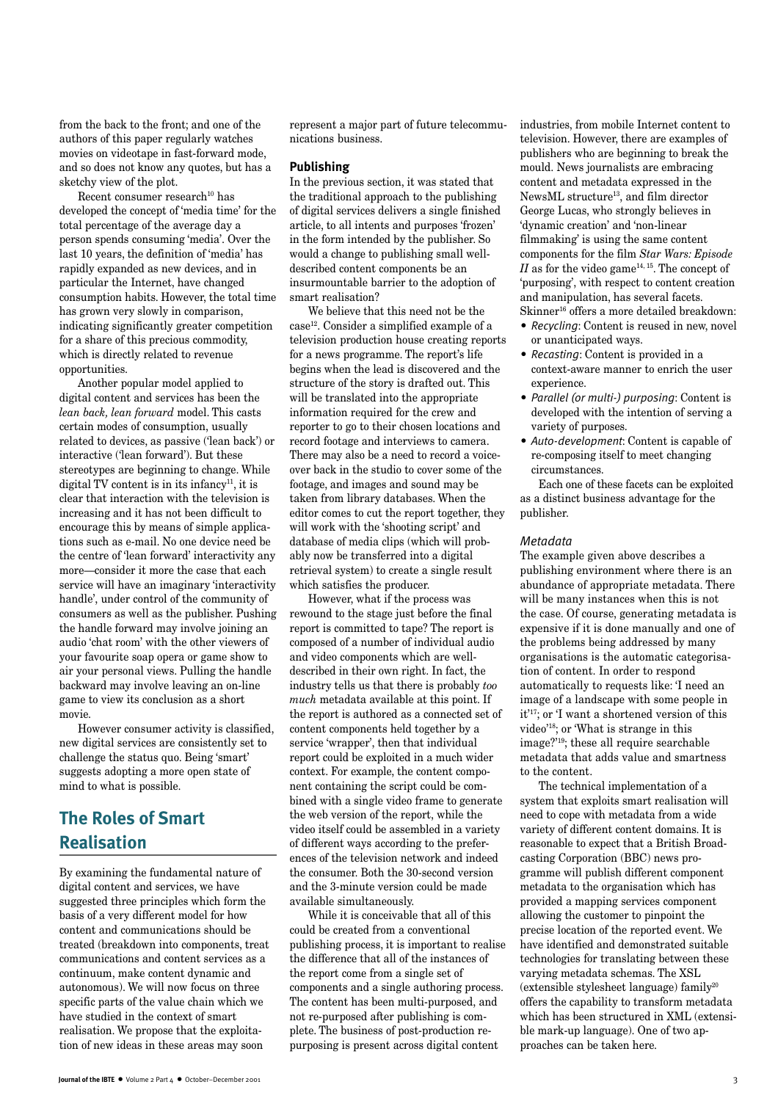from the back to the front; and one of the authors of this paper regularly watches movies on videotape in fast-forward mode, and so does not know any quotes, but has a sketchy view of the plot.

Recent consumer research<sup>10</sup> has developed the concept of 'media time' for the total percentage of the average day a person spends consuming 'media'. Over the last 10 years, the definition of 'media' has rapidly expanded as new devices, and in particular the Internet, have changed consumption habits. However, the total time has grown very slowly in comparison, indicating significantly greater competition for a share of this precious commodity, which is directly related to revenue opportunities.

Another popular model applied to digital content and services has been the *lean back, lean forward* model. This casts certain modes of consumption, usually related to devices, as passive ('lean back') or interactive ('lean forward'). But these stereotypes are beginning to change. While digital TV content is in its infancy<sup>11</sup>, it is clear that interaction with the television is increasing and it has not been difficult to encourage this by means of simple applications such as e-mail. No one device need be the centre of 'lean forward' interactivity any more—consider it more the case that each service will have an imaginary 'interactivity handle', under control of the community of consumers as well as the publisher. Pushing the handle forward may involve joining an audio 'chat room' with the other viewers of your favourite soap opera or game show to air your personal views. Pulling the handle backward may involve leaving an on-line game to view its conclusion as a short movie.

However consumer activity is classified, new digital services are consistently set to challenge the status quo. Being 'smart' suggests adopting a more open state of mind to what is possible.

# **The Roles of Smart Realisation**

By examining the fundamental nature of digital content and services, we have suggested three principles which form the basis of a very different model for how content and communications should be treated (breakdown into components, treat communications and content services as a continuum, make content dynamic and autonomous). We will now focus on three specific parts of the value chain which we have studied in the context of smart realisation. We propose that the exploitation of new ideas in these areas may soon

represent a major part of future telecommunications business.

#### **Publishing**

In the previous section, it was stated that the traditional approach to the publishing of digital services delivers a single finished article, to all intents and purposes 'frozen' in the form intended by the publisher. So would a change to publishing small welldescribed content components be an insurmountable barrier to the adoption of smart realisation?

We believe that this need not be the case12. Consider a simplified example of a television production house creating reports for a news programme. The report's life begins when the lead is discovered and the structure of the story is drafted out. This will be translated into the appropriate information required for the crew and reporter to go to their chosen locations and record footage and interviews to camera. There may also be a need to record a voiceover back in the studio to cover some of the footage, and images and sound may be taken from library databases. When the editor comes to cut the report together, they will work with the 'shooting script' and database of media clips (which will probably now be transferred into a digital retrieval system) to create a single result which satisfies the producer.

However, what if the process was rewound to the stage just before the final report is committed to tape? The report is composed of a number of individual audio and video components which are welldescribed in their own right. In fact, the industry tells us that there is probably *too much* metadata available at this point. If the report is authored as a connected set of content components held together by a service 'wrapper', then that individual report could be exploited in a much wider context. For example, the content component containing the script could be combined with a single video frame to generate the web version of the report, while the video itself could be assembled in a variety of different ways according to the preferences of the television network and indeed the consumer. Both the 30-second version and the 3-minute version could be made available simultaneously.

While it is conceivable that all of this could be created from a conventional publishing process, it is important to realise the difference that all of the instances of the report come from a single set of components and a single authoring process. The content has been multi-purposed, and not re-purposed after publishing is complete. The business of post-production repurposing is present across digital content

industries, from mobile Internet content to television. However, there are examples of publishers who are beginning to break the mould. News journalists are embracing content and metadata expressed in the NewsML structure13, and film director George Lucas, who strongly believes in 'dynamic creation' and 'non-linear filmmaking' is using the same content components for the film *Star Wars: Episode*  $II$  as for the video game<sup>14, 15</sup>. The concept of 'purposing', with respect to content creation and manipulation, has several facets. Skinner<sup>16</sup> offers a more detailed breakdown:

- *Recycling*: Content is reused in new, novel or unanticipated ways.
- *Recasting*: Content is provided in a context-aware manner to enrich the user experience.
- *Parallel (or multi-) purposing*: Content is developed with the intention of serving a variety of purposes.
- *Auto-development*: Content is capable of re-composing itself to meet changing circumstances.

Each one of these facets can be exploited as a distinct business advantage for the publisher.

#### *Metadata*

The example given above describes a publishing environment where there is an abundance of appropriate metadata. There will be many instances when this is not the case. Of course, generating metadata is expensive if it is done manually and one of the problems being addressed by many organisations is the automatic categorisation of content. In order to respond automatically to requests like: 'I need an image of a landscape with some people in it'17; or 'I want a shortened version of this video'18; or 'What is strange in this image?'19; these all require searchable metadata that adds value and smartness to the content.

The technical implementation of a system that exploits smart realisation will need to cope with metadata from a wide variety of different content domains. It is reasonable to expect that a British Broadcasting Corporation (BBC) news programme will publish different component metadata to the organisation which has provided a mapping services component allowing the customer to pinpoint the precise location of the reported event. We have identified and demonstrated suitable technologies for translating between these varying metadata schemas. The XSL (extensible stylesheet language) family $^{20}$ offers the capability to transform metadata which has been structured in XML (extensible mark-up language). One of two approaches can be taken here.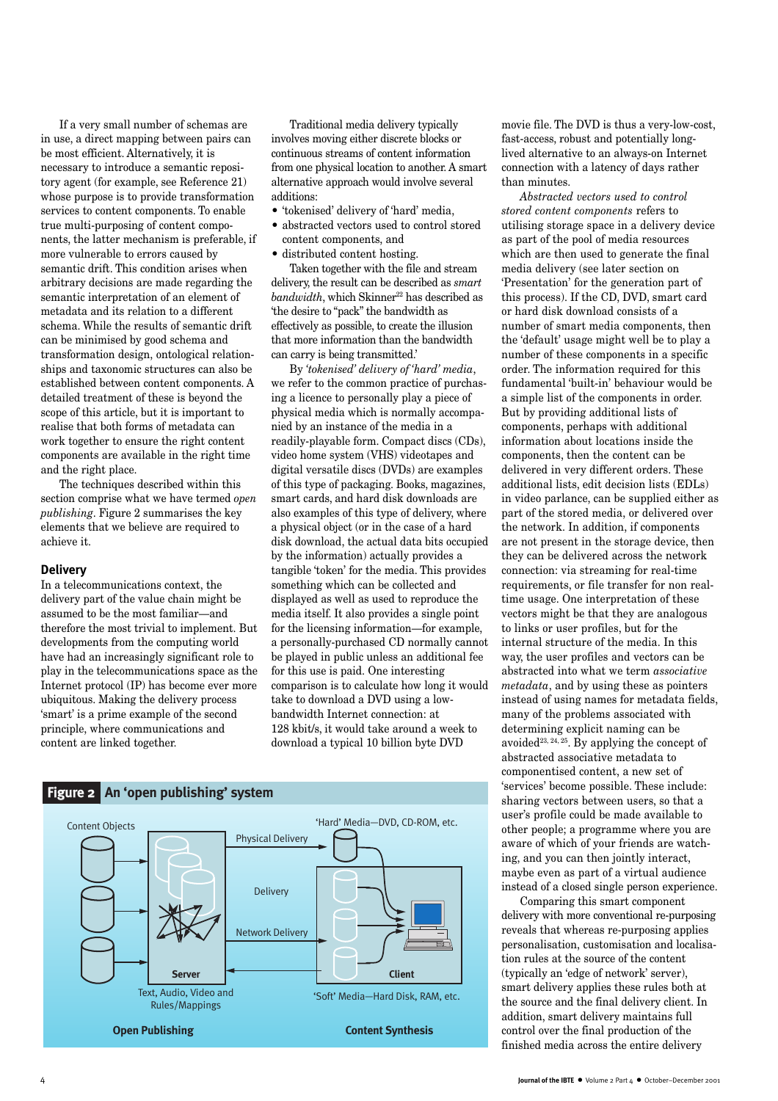If a very small number of schemas are in use, a direct mapping between pairs can be most efficient. Alternatively, it is necessary to introduce a semantic repository agent (for example, see Reference 21) whose purpose is to provide transformation services to content components. To enable true multi-purposing of content components, the latter mechanism is preferable, if more vulnerable to errors caused by semantic drift. This condition arises when arbitrary decisions are made regarding the semantic interpretation of an element of metadata and its relation to a different schema. While the results of semantic drift can be minimised by good schema and transformation design, ontological relationships and taxonomic structures can also be established between content components. A detailed treatment of these is beyond the scope of this article, but it is important to realise that both forms of metadata can work together to ensure the right content components are available in the right time and the right place.

The techniques described within this section comprise what we have termed *open publishing*. Figure 2 summarises the key elements that we believe are required to achieve it.

#### **Delivery**

In a telecommunications context, the delivery part of the value chain might be assumed to be the most familiar—and therefore the most trivial to implement. But developments from the computing world have had an increasingly significant role to play in the telecommunications space as the Internet protocol (IP) has become ever more ubiquitous. Making the delivery process 'smart' is a prime example of the second principle, where communications and content are linked together.

Traditional media delivery typically involves moving either discrete blocks or continuous streams of content information from one physical location to another. A smart alternative approach would involve several additions:

- 'tokenised' delivery of 'hard' media,
- abstracted vectors used to control stored content components, and
- distributed content hosting.

Taken together with the file and stream delivery, the result can be described as *smart*  $bandwidth$ , which Skinner<sup>22</sup> has described as 'the desire to "pack" the bandwidth as effectively as possible, to create the illusion that more information than the bandwidth can carry is being transmitted.'

By *'tokenised' delivery of 'hard' media*, we refer to the common practice of purchasing a licence to personally play a piece of physical media which is normally accompanied by an instance of the media in a readily-playable form. Compact discs (CDs), video home system (VHS) videotapes and digital versatile discs (DVDs) are examples of this type of packaging. Books, magazines, smart cards, and hard disk downloads are also examples of this type of delivery, where a physical object (or in the case of a hard disk download, the actual data bits occupied by the information) actually provides a tangible 'token' for the media. This provides something which can be collected and displayed as well as used to reproduce the media itself. It also provides a single point for the licensing information—for example, a personally-purchased CD normally cannot be played in public unless an additional fee for this use is paid. One interesting comparison is to calculate how long it would take to download a DVD using a lowbandwidth Internet connection: at 128 kbit/s, it would take around a week to download a typical 10 billion byte DVD



movie file. The DVD is thus a very-low-cost, fast-access, robust and potentially longlived alternative to an always-on Internet connection with a latency of days rather than minutes.

*Abstracted vectors used to control stored content components* refers to utilising storage space in a delivery device as part of the pool of media resources which are then used to generate the final media delivery (see later section on 'Presentation' for the generation part of this process). If the CD, DVD, smart card or hard disk download consists of a number of smart media components, then the 'default' usage might well be to play a number of these components in a specific order. The information required for this fundamental 'built-in' behaviour would be a simple list of the components in order. But by providing additional lists of components, perhaps with additional information about locations inside the components, then the content can be delivered in very different orders. These additional lists, edit decision lists (EDLs) in video parlance, can be supplied either as part of the stored media, or delivered over the network. In addition, if components are not present in the storage device, then they can be delivered across the network connection: via streaming for real-time requirements, or file transfer for non realtime usage. One interpretation of these vectors might be that they are analogous to links or user profiles, but for the internal structure of the media. In this way, the user profiles and vectors can be abstracted into what we term *associative metadata*, and by using these as pointers instead of using names for metadata fields, many of the problems associated with determining explicit naming can be avoided<sup>23, 24, 25</sup>. By applying the concept of abstracted associative metadata to componentised content, a new set of 'services' become possible. These include: sharing vectors between users, so that a user's profile could be made available to other people; a programme where you are aware of which of your friends are watching, and you can then jointly interact, maybe even as part of a virtual audience instead of a closed single person experience.

Comparing this smart component delivery with more conventional re-purposing reveals that whereas re-purposing applies personalisation, customisation and localisation rules at the source of the content (typically an 'edge of network' server), smart delivery applies these rules both at the source and the final delivery client. In addition, smart delivery maintains full control over the final production of the finished media across the entire delivery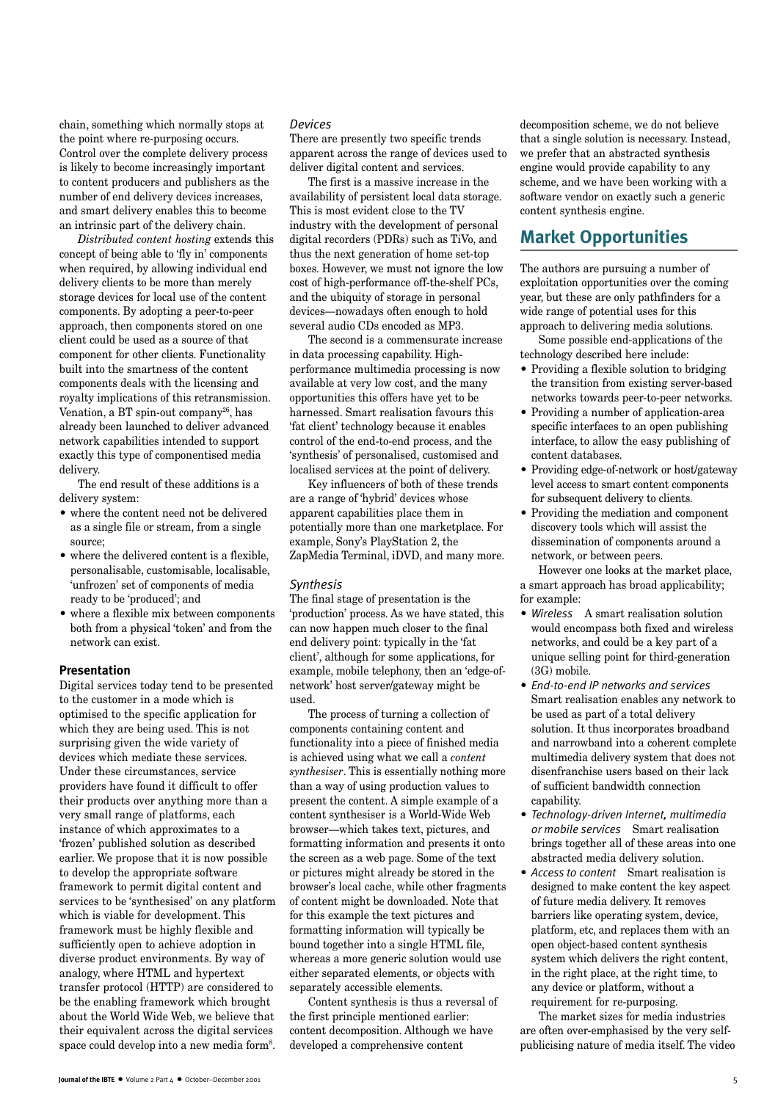chain, something which normally stops at the point where re-purposing occurs. Control over the complete delivery process is likely to become increasingly important to content producers and publishers as the number of end delivery devices increases, and smart delivery enables this to become an intrinsic part of the delivery chain.

*Distributed content hosting* extends this concept of being able to 'fly in' components when required, by allowing individual end delivery clients to be more than merely storage devices for local use of the content components. By adopting a peer-to-peer approach, then components stored on one client could be used as a source of that component for other clients. Functionality built into the smartness of the content components deals with the licensing and royalty implications of this retransmission. Venation, a BT spin-out company<sup>26</sup>, has already been launched to deliver advanced network capabilities intended to support exactly this type of componentised media delivery.

The end result of these additions is a delivery system:

- where the content need not be delivered as a single file or stream, from a single source;
- where the delivered content is a flexible, personalisable, customisable, localisable, 'unfrozen' set of components of media ready to be 'produced'; and
- where a flexible mix between components both from a physical 'token' and from the network can exist.

#### **Presentation**

Digital services today tend to be presented to the customer in a mode which is optimised to the specific application for which they are being used. This is not surprising given the wide variety of devices which mediate these services. Under these circumstances, service providers have found it difficult to offer their products over anything more than a very small range of platforms, each instance of which approximates to a 'frozen' published solution as described earlier. We propose that it is now possible to develop the appropriate software framework to permit digital content and services to be 'synthesised' on any platform which is viable for development. This framework must be highly flexible and sufficiently open to achieve adoption in diverse product environments. By way of analogy, where HTML and hypertext transfer protocol (HTTP) are considered to be the enabling framework which brought about the World Wide Web, we believe that their equivalent across the digital services space could develop into a new media form<sup>8</sup>.

#### *Devices*

There are presently two specific trends apparent across the range of devices used to deliver digital content and services.

The first is a massive increase in the availability of persistent local data storage. This is most evident close to the TV industry with the development of personal digital recorders (PDRs) such as TiVo, and thus the next generation of home set-top boxes. However, we must not ignore the low cost of high-performance off-the-shelf PCs, and the ubiquity of storage in personal devices—nowadays often enough to hold several audio CDs encoded as MP3.

The second is a commensurate increase in data processing capability. Highperformance multimedia processing is now available at very low cost, and the many opportunities this offers have yet to be harnessed. Smart realisation favours this 'fat client' technology because it enables control of the end-to-end process, and the 'synthesis' of personalised, customised and localised services at the point of delivery.

Key influencers of both of these trends are a range of 'hybrid' devices whose apparent capabilities place them in potentially more than one marketplace. For example, Sony's PlayStation 2, the ZapMedia Terminal, iDVD, and many more.

#### *Synthesis*

The final stage of presentation is the 'production' process. As we have stated, this can now happen much closer to the final end delivery point: typically in the 'fat client', although for some applications, for example, mobile telephony, then an 'edge-ofnetwork' host server/gateway might be used.

The process of turning a collection of components containing content and functionality into a piece of finished media is achieved using what we call a *content synthesiser*. This is essentially nothing more than a way of using production values to present the content. A simple example of a content synthesiser is a World-Wide Web browser—which takes text, pictures, and formatting information and presents it onto the screen as a web page. Some of the text or pictures might already be stored in the browser's local cache, while other fragments of content might be downloaded. Note that for this example the text pictures and formatting information will typically be bound together into a single HTML file, whereas a more generic solution would use either separated elements, or objects with separately accessible elements.

Content synthesis is thus a reversal of the first principle mentioned earlier: content decomposition. Although we have developed a comprehensive content

decomposition scheme, we do not believe that a single solution is necessary. Instead, we prefer that an abstracted synthesis engine would provide capability to any scheme, and we have been working with a software vendor on exactly such a generic content synthesis engine.

### **Market Opportunities**

The authors are pursuing a number of exploitation opportunities over the coming year, but these are only pathfinders for a wide range of potential uses for this approach to delivering media solutions.

Some possible end-applications of the technology described here include:

- Providing a flexible solution to bridging the transition from existing server-based networks towards peer-to-peer networks.
- Providing a number of application-area specific interfaces to an open publishing interface, to allow the easy publishing of content databases.
- Providing edge-of-network or host/gateway level access to smart content components for subsequent delivery to clients.
- Providing the mediation and component discovery tools which will assist the dissemination of components around a network, or between peers.

However one looks at the market place, a smart approach has broad applicability; for example:

- *Wireless* A smart realisation solution would encompass both fixed and wireless networks, and could be a key part of a unique selling point for third-generation (3G) mobile.
- *End-to-end IP networks and services* Smart realisation enables any network to be used as part of a total delivery solution. It thus incorporates broadband and narrowband into a coherent complete multimedia delivery system that does not disenfranchise users based on their lack of sufficient bandwidth connection capability.
- *Technology-driven Internet, multimedia or mobile services* Smart realisation brings together all of these areas into one abstracted media delivery solution.
- *Access to content* Smart realisation is designed to make content the key aspect of future media delivery. It removes barriers like operating system, device, platform, etc, and replaces them with an open object-based content synthesis system which delivers the right content, in the right place, at the right time, to any device or platform, without a requirement for re-purposing.

The market sizes for media industries are often over-emphasised by the very selfpublicising nature of media itself. The video